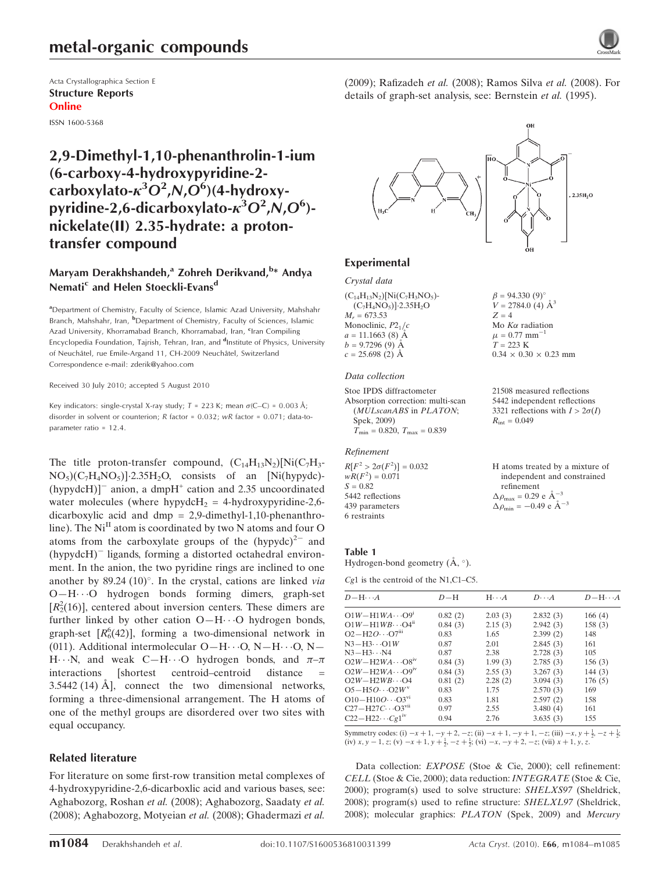# metal-organic compounds

Acta Crystallographica Section E Structure Reports Online

ISSN 1600-5368

# 2,9-Dimethyl-1,10-phenanthrolin-1-ium (6-carboxy-4-hydroxypyridine-2 carboxylato- $\kappa^3 O^2$ ,N, $O^6$ )(4-hydroxypyridine-2,6-dicarboxylato- $\kappa^3 O^2$ ,N,O $^6$ )nickelate(II) 2.35-hydrate: a protontransfer compound

# Maryam Derakhshandeh,<sup>a</sup> Zohreh Derikvand,<sup>b</sup>\* Andya Nemati<sup>c</sup> and Helen Stoeckli-Evans<sup>d</sup>

<sup>a</sup>Department of Chemistry, Faculty of Science, Islamic Azad University, Mahshahr Branch, Mahshahr, Iran, <sup>b</sup>Department of Chemistry, Faculty of Sciences, Islamic Azad University, Khorramabad Branch, Khorramabad, Iran, <sup>c</sup>Iran Compiling Encyclopedia Foundation, Tajrish, Tehran, Iran, and <sup>d</sup>Institute of Physics, University of Neuchâtel, rue Emile-Argand 11, CH-2009 Neuchâtel, Switzerland Correspondence e-mail: zderik@yahoo.com

Received 30 July 2010; accepted 5 August 2010

Key indicators: single-crystal X-ray study;  $T = 223$  K; mean  $\sigma$ (C–C) = 0.003 Å; disorder in solvent or counterion; R factor = 0.032; wR factor = 0.071; data-toparameter ratio = 12.4.

The title proton-transfer compound,  $(C_{14}H_{13}N_2)[Ni(C_7H_3 NO<sub>5</sub>)(C<sub>7</sub>H<sub>4</sub>NO<sub>5</sub>)$ ] $\cdot 2.35H<sub>2</sub>O$ , consists of an [Ni(hypydc)-(hypydcH)] $^-$  anion, a dmpH<sup>+</sup> cation and 2.35 uncoordinated water molecules (where hypydcH<sub>2</sub> = 4-hydroxypyridine-2,6dicarboxylic acid and dmp = 2,9-dimethyl-1,10-phenanthroline). The  $Ni<sup>II</sup>$  atom is coordinated by two N atoms and four O atoms from the carboxylate groups of the  $(hypydc)^{2-}$  and  $(hypydcH)$ <sup>-</sup> ligands, forming a distorted octahedral environment. In the anion, the two pyridine rings are inclined to one another by 89.24 (10) $^{\circ}$ . In the crystal, cations are linked via O—H---O hydrogen bonds forming dimers, graph-set  $[R<sub>2</sub><sup>2</sup>(16)]$ , centered about inversion centers. These dimers are further linked by other cation O-H $\cdots$ O hydrogen bonds, graph-set  $[R_6^6(42)]$ , forming a two-dimensional network in (011). Additional intermolecular  $O-H \cdots O$ ,  $N-H \cdots O$ ,  $N-$ H $\cdots$ N, and weak C-H $\cdots$ O hydrogen bonds, and  $\pi-\pi$ interactions [shortest centroid–centroid distance  $3.5442$  (14)  $\AA$ ], connect the two dimensional networks, forming a three-dimensional arrangement. The H atoms of one of the methyl groups are disordered over two sites with equal occupancy.

### Related literature

For literature on some first-row transition metal complexes of 4-hydroxypyridine-2,6-dicarboxlic acid and various bases, see: Aghabozorg, Roshan et al. (2008); Aghabozorg, Saadaty et al. (2008); Aghabozorg, Motyeian et al. (2008); Ghadermazi et al. (2009); Rafizadeh et al. (2008); Ramos Silva et al. (2008). For details of graph-set analysis, see: Bernstein et al. (1995).



 $\beta = 94.330 (9)$ °  $V = 2784.0$  (4)  $\AA^3$ 

Mo  $K\alpha$  radiation  $\mu$  = 0.77 mm<sup>-1</sup>  $T = 223$  K

 $R_{\text{int}} = 0.049$ 

refinement  $\Delta \rho_{\text{max}} = 0.29 \text{ e A}^{-3}$  $\Delta \rho_{\rm min} = -0.49 \text{ e A}^{-3}$ 

 $0.34 \times 0.30 \times 0.23$  mm

21508 measured reflections 5442 independent reflections 3321 reflections with  $I > 2\sigma(I)$ 

H atoms treated by a mixture of independent and constrained

 $Z = 4$ 

### Experimental

Crystal data  $(C_{14}H_{13}N_2)[Ni(C_7H_3NO_5) (C_7H_4NO_5)]$ -2.35H<sub>2</sub>O  $M<sub>r</sub> = 673.53$ Monoclinic,  $P2<sub>1</sub>/c$  $a = 11.1663(8)$  Å  $b = 9.7296(9)$  Å  $c = 25.698(2)$  Å

#### Data collection

Stoe IPDS diffractometer Absorption correction: multi-scan (MULscanABS in PLATON; Spek, 2009)  $\bar{T}_{\text{min}} = 0.820, T_{\text{max}} = 0.839$ 

#### Refinement

 $R[F^2 > 2\sigma(F^2)] = 0.032$  $wR(F^2) = 0.071$  $S = 0.82$ 5442 reflections 439 parameters 6 restraints

#### Table 1

Hydrogen-bond geometry  $(A, \degree)$ .

Cg1 is the centroid of the N1,C1–C5.

| $D - H \cdots A$                    | $D-H$   | $H \cdot \cdot \cdot A$ | $D\cdots A$ | $D - H \cdots A$ |
|-------------------------------------|---------|-------------------------|-------------|------------------|
| $O1W - H1WA \cdots O9$ <sup>1</sup> | 0.82(2) | 2.03(3)                 | 2.832(3)    | 166(4)           |
| $O1W - H1WB \cdots O4n$             | 0.84(3) | 2.15(3)                 | 2.942(3)    | 158(3)           |
| $O2-H2O\cdots O7m$                  | 0.83    | 1.65                    | 2.399(2)    | 148              |
| $N3-H3\cdots O1W$                   | 0.87    | 2.01                    | 2.845(3)    | 161              |
| $N3 - H3 \cdots N4$                 | 0.87    | 2.38                    | 2.728(3)    | 105              |
| $O2W - H2WA \cdots OSIV$            | 0.84(3) | 1.99(3)                 | 2.785(3)    | 156(3)           |
| $O2W - H2WA \cdots O9W$             | 0.84(3) | 2.55(3)                 | 3.267(3)    | 144 $(3)$        |
| $O2W - H2WB \cdots O4$              | 0.81(2) | 2.28(2)                 | 3.094(3)    | 176(5)           |
| $O5 - H5O \cdots O2W^v$             | 0.83    | 1.75                    | 2.570(3)    | 169              |
| $O10 - H10O \cdots O3^{v_1}$        | 0.83    | 1.81                    | 2.597(2)    | 158              |
| $C27 - H27C \cdots O3^{vu}$         | 0.97    | 2.55                    | 3.480(4)    | 161              |
| $C22-H22\cdots Cg1^{iv}$            | 0.94    | 2.76                    | 3.635(3)    | 155              |

Symmetry codes: (i)  $-x + 1$ ,  $-y + 2$ ,  $-z$ ; (ii)  $-x + 1$ ,  $-y + 1$ ,  $-z$ ; (iii)  $-x$ ,  $y + \frac{1}{2}$ ,  $-z + \frac{1}{2}$ ; (iv) x, y - 1, z; (v)  $-x + 1$ , y  $+\frac{1}{2}$ ,  $-z + \frac{1}{2}$ ; (vi)  $-x$ ,  $-y + 2$ ,  $-z$ ; (vii)  $x + 1$ , y, z.

Data collection: EXPOSE (Stoe & Cie, 2000); cell refinement: CELL (Stoe & Cie, 2000); data reduction: INTEGRATE (Stoe & Cie, 2000); program(s) used to solve structure: SHELXS97 (Sheldrick, 2008); program(s) used to refine structure: SHELXL97 (Sheldrick, 2008); molecular graphics: PLATON (Spek, 2009) and Mercury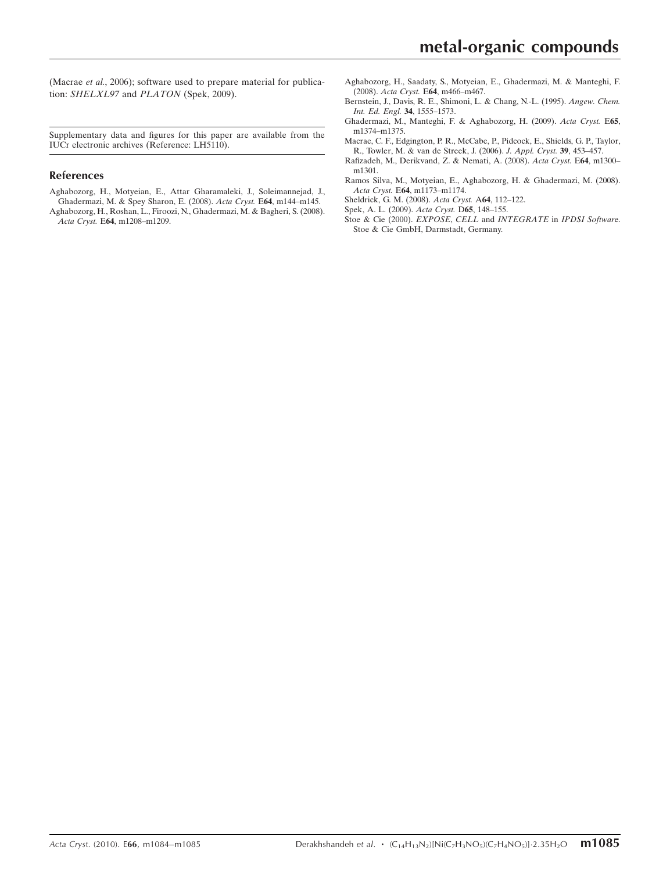(Macrae et al., 2006); software used to prepare material for publication: SHELXL97 and PLATON (Spek, 2009).

Supplementary data and figures for this paper are available from the IUCr electronic archives (Reference: LH5110).

### References

- [Aghabozorg, H., Motyeian, E., Attar Gharamaleki, J., Soleimannejad, J.,](https://scripts.iucr.org/cgi-bin/cr.cgi?rm=pdfbb&cnor=lh5110&bbid=BB1) [Ghadermazi, M. & Spey Sharon, E. \(2008\).](https://scripts.iucr.org/cgi-bin/cr.cgi?rm=pdfbb&cnor=lh5110&bbid=BB1) Acta Cryst. E64, m144–m145.
- [Aghabozorg, H., Roshan, L., Firoozi, N., Ghadermazi, M. & Bagheri, S. \(2008\).](https://scripts.iucr.org/cgi-bin/cr.cgi?rm=pdfbb&cnor=lh5110&bbid=BB2) Acta Cryst. E64[, m1208–m1209.](https://scripts.iucr.org/cgi-bin/cr.cgi?rm=pdfbb&cnor=lh5110&bbid=BB2)
- [Aghabozorg, H., Saadaty, S., Motyeian, E., Ghadermazi, M. & Manteghi, F.](https://scripts.iucr.org/cgi-bin/cr.cgi?rm=pdfbb&cnor=lh5110&bbid=BB3) (2008). Acta Cryst. E64[, m466–m467.](https://scripts.iucr.org/cgi-bin/cr.cgi?rm=pdfbb&cnor=lh5110&bbid=BB3)
- [Bernstein, J., Davis, R. E., Shimoni, L. & Chang, N.-L. \(1995\).](https://scripts.iucr.org/cgi-bin/cr.cgi?rm=pdfbb&cnor=lh5110&bbid=BB4) Angew. Chem. [Int. Ed. Engl.](https://scripts.iucr.org/cgi-bin/cr.cgi?rm=pdfbb&cnor=lh5110&bbid=BB4) 34, 1555–1573.
- [Ghadermazi, M., Manteghi, F. & Aghabozorg, H. \(2009\).](https://scripts.iucr.org/cgi-bin/cr.cgi?rm=pdfbb&cnor=lh5110&bbid=BB5) Acta Cryst. E65, [m1374–m1375.](https://scripts.iucr.org/cgi-bin/cr.cgi?rm=pdfbb&cnor=lh5110&bbid=BB5)
- [Macrae, C. F., Edgington, P. R., McCabe, P., Pidcock, E., Shields, G. P., Taylor,](https://scripts.iucr.org/cgi-bin/cr.cgi?rm=pdfbb&cnor=lh5110&bbid=BB6) [R., Towler, M. & van de Streek, J. \(2006\).](https://scripts.iucr.org/cgi-bin/cr.cgi?rm=pdfbb&cnor=lh5110&bbid=BB6) J. Appl. Cryst. 39, 453–457.
- [Rafizadeh, M., Derikvand, Z. & Nemati, A. \(2008\).](https://scripts.iucr.org/cgi-bin/cr.cgi?rm=pdfbb&cnor=lh5110&bbid=BB7) Acta Cryst. E64, m1300– [m1301.](https://scripts.iucr.org/cgi-bin/cr.cgi?rm=pdfbb&cnor=lh5110&bbid=BB7)
- [Ramos Silva, M., Motyeian, E., Aghabozorg, H. & Ghadermazi, M. \(2008\).](https://scripts.iucr.org/cgi-bin/cr.cgi?rm=pdfbb&cnor=lh5110&bbid=BB8) Acta Cryst. E64[, m1173–m1174.](https://scripts.iucr.org/cgi-bin/cr.cgi?rm=pdfbb&cnor=lh5110&bbid=BB8)
- [Sheldrick, G. M. \(2008\).](https://scripts.iucr.org/cgi-bin/cr.cgi?rm=pdfbb&cnor=lh5110&bbid=BB9) Acta Cryst. A64, 112–122.
- [Spek, A. L. \(2009\).](https://scripts.iucr.org/cgi-bin/cr.cgi?rm=pdfbb&cnor=lh5110&bbid=BB10) Acta Cryst. D65, 148–155.
- [Stoe & Cie \(2000\).](https://scripts.iucr.org/cgi-bin/cr.cgi?rm=pdfbb&cnor=lh5110&bbid=BB11) EXPOSE, CELL and INTEGRATE in IPDSI Software. [Stoe & Cie GmbH, Darmstadt, Germany.](https://scripts.iucr.org/cgi-bin/cr.cgi?rm=pdfbb&cnor=lh5110&bbid=BB11)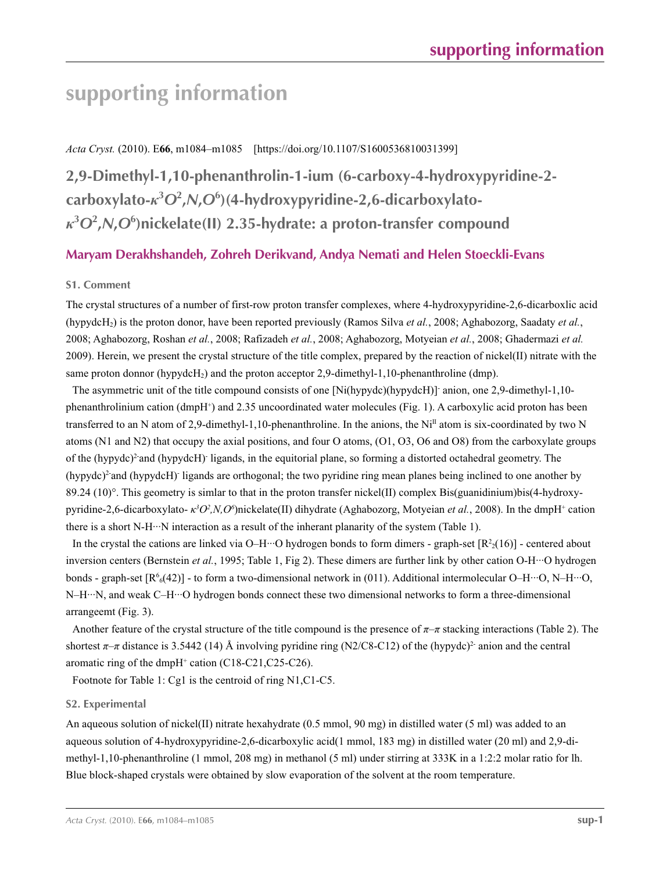*Acta Cryst.* (2010). E**66**, m1084–m1085 [https://doi.org/10.1107/S1600536810031399]

**2,9-Dimethyl-1,10-phenanthrolin-1-ium (6-carboxy-4-hydroxypyridine-2 carboxylato-***κ***<sup>3</sup>** *O***<sup>2</sup> ,***N***,***O***<sup>6</sup> )(4-hydroxypyridine-2,6-dicarboxylato***κ***3** *O***<sup>2</sup> ,***N***,***O***<sup>6</sup> )nickelate(II) 2.35-hydrate: a proton-transfer compound**

# **Maryam Derakhshandeh, Zohreh Derikvand, Andya Nemati and Helen Stoeckli-Evans**

## **S1. Comment**

The crystal structures of a number of first-row proton transfer complexes, where 4-hydroxypyridine-2,6-dicarboxlic acid (hypydcH2) is the proton donor, have been reported previously (Ramos Silva *et al.*, 2008; Aghabozorg, Saadaty *et al.*, 2008; Aghabozorg, Roshan *et al.*, 2008; Rafizadeh *et al.*, 2008; Aghabozorg, Motyeian *et al.*, 2008; Ghadermazi *et al.* 2009). Herein, we present the crystal structure of the title complex, prepared by the reaction of nickel(II) nitrate with the same proton donnor (hypydcH<sub>2</sub>) and the proton acceptor 2,9-dimethyl-1,10-phenanthroline (dmp).

The asymmetric unit of the title compound consists of one [Ni(hypydc)(hypydcH)]- anion, one 2,9-dimethyl-1,10 phenanthrolinium cation (dmpH+) and 2.35 uncoordinated water molecules (Fig. 1). A carboxylic acid proton has been transferred to an N atom of 2,9-dimethyl-1,10-phenanthroline. In the anions, the Ni<sup>II</sup> atom is six-coordinated by two N atoms (N1 and N2) that occupy the axial positions, and four O atoms, (O1, O3, O6 and O8) from the carboxylate groups of the (hypydc)<sup>2</sup> and (hypydcH) ligands, in the equitorial plane, so forming a distorted octahedral geometry. The (hypydc)<sup>2-</sup>and (hypydcH)<sup>-</sup> ligands are orthogonal; the two pyridine ring mean planes being inclined to one another by 89.24 (10)°. This geometry is simlar to that in the proton transfer nickel(II) complex Bis(guanidinium)bis(4-hydroxypyridine-2,6-dicarboxylato- *κ<sup>3</sup>O<sup>2</sup>*,*N,O*<sup>6</sup>)nickelate(II) dihydrate (Aghabozorg, Motyeian *et al.*, 2008). In the dmpH<sup>+</sup> cation there is a short N-H···N interaction as a result of the inherant planarity of the system (Table 1).

In the crystal the cations are linked via O-H…O hydrogen bonds to form dimers - graph-set  $[R<sup>2</sup><sub>2</sub>(16)]$  - centered about inversion centers (Bernstein *et al.*, 1995; Table 1, Fig 2). These dimers are further link by other cation O-H···O hydrogen bonds - graph-set  $[R^6(42)]$  - to form a two-dimensional network in (011). Additional intermolecular O–H…O, N–H…O, N–H…N, and weak C–H…O hydrogen bonds connect these two dimensional networks to form a three-dimensional arrangeemt (Fig. 3).

Another feature of the crystal structure of the title compound is the presence of *π*–*π* stacking interactions (Table 2). The shortest  $\pi$ –*π* distance is 3.5442 (14) Å involving pyridine ring (N2/C8-C12) of the (hypydc)<sup>2-</sup> anion and the central aromatic ring of the dmpH<sup>+</sup> cation (C18-C21,C25-C26).

Footnote for Table 1: Cg1 is the centroid of ring N1,C1-C5.

## **S2. Experimental**

An aqueous solution of nickel(II) nitrate hexahydrate (0.5 mmol, 90 mg) in distilled water (5 ml) was added to an aqueous solution of 4-hydroxypyridine-2,6-dicarboxylic acid(1 mmol, 183 mg) in distilled water (20 ml) and 2,9-dimethyl-1,10-phenanthroline (1 mmol, 208 mg) in methanol (5 ml) under stirring at 333K in a 1:2:2 molar ratio for lh. Blue block-shaped crystals were obtained by slow evaporation of the solvent at the room temperature.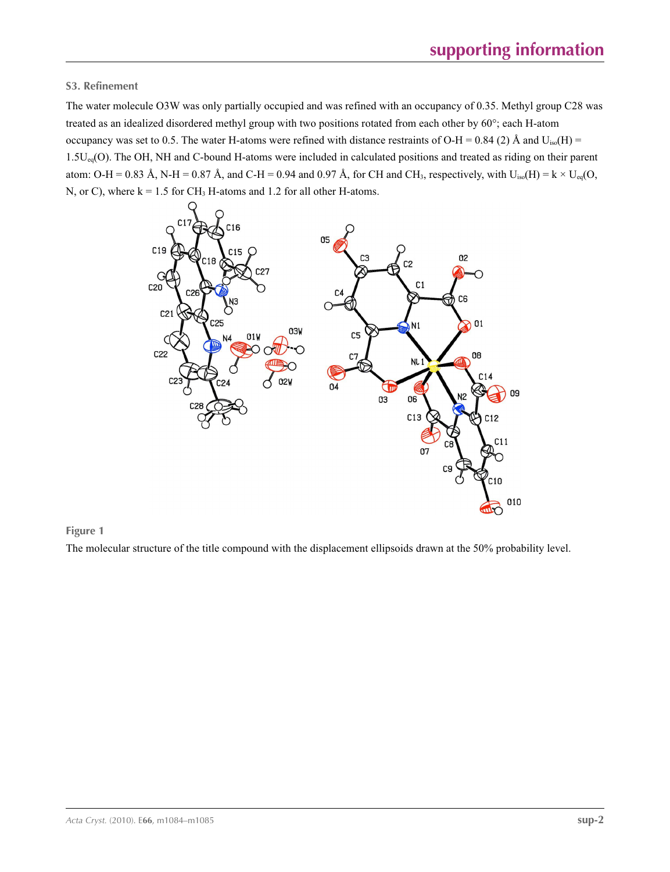# **S3. Refinement**

The water molecule O3W was only partially occupied and was refined with an occupancy of 0.35. Methyl group C28 was treated as an idealized disordered methyl group with two positions rotated from each other by 60°; each H-atom occupancy was set to 0.5. The water H-atoms were refined with distance restraints of O-H = 0.84 (2) Å and  $U_{iso}(H)$  = 1.5Ueq(O). The OH, NH and C-bound H-atoms were included in calculated positions and treated as riding on their parent atom: O-H = 0.83 Å, N-H = 0.87 Å, and C-H = 0.94 and 0.97 Å, for CH and CH<sub>3</sub>, respectively, with  $U_{iso}(H) = k \times U_{eq}(O,$ N, or C), where  $k = 1.5$  for CH<sub>3</sub> H-atoms and 1.2 for all other H-atoms.



## **Figure 1**

The molecular structure of the title compound with the displacement ellipsoids drawn at the 50% probability level.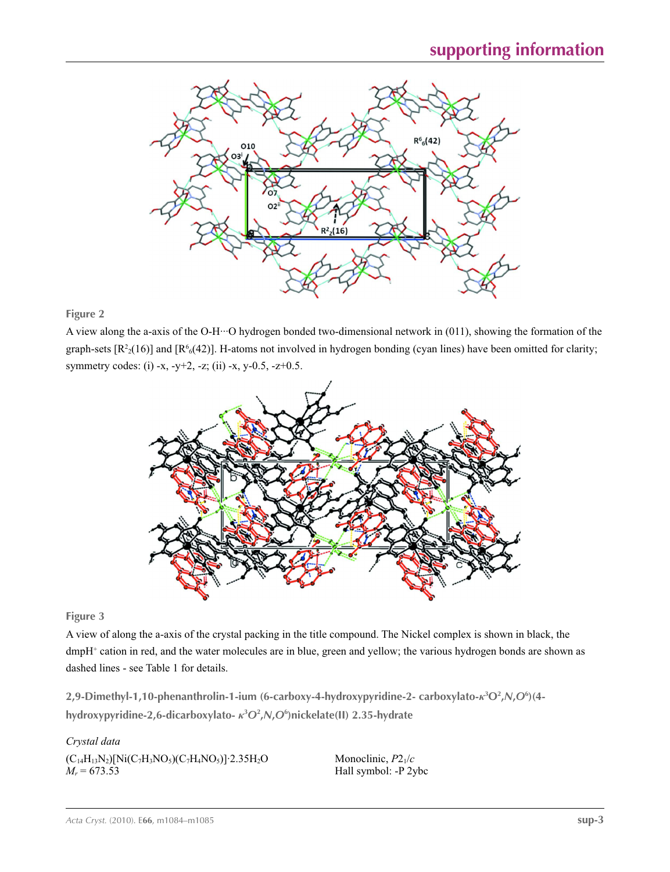

**Figure 2**

A view along the a-axis of the O-H···O hydrogen bonded two-dimensional network in (011), showing the formation of the graph-sets  $[R^2(16)]$  and  $[R^6(42)]$ . H-atoms not involved in hydrogen bonding (cyan lines) have been omitted for clarity; symmetry codes: (i) -x, -y+2, -z; (ii) -x, y-0.5, -z+0.5.



**Figure 3**

A view of along the a-axis of the crystal packing in the title compound. The Nickel complex is shown in black, the dmpH<sup>+</sup> cation in red, and the water molecules are in blue, green and yellow; the various hydrogen bonds are shown as dashed lines - see Table 1 for details.

**2,9-Dimethyl-1,10-phenanthrolin-1-ium (6-carboxy-4-hydroxypyridine-2- carboxylato-***κ***<sup>3</sup> O2 ,***N***,***O***<sup>6</sup> )(4 hydroxypyridine-2,6-dicarboxylato-** *κ***<sup>3</sup>** *O***<sup>2</sup> ,***N***,***O***<sup>6</sup> )nickelate(II) 2.35-hydrate** 

*Crystal data*  $(C_{14}H_{13}N_2)[Ni(C_7H_3NO_5)(C_7H_4NO_5)]$ <sup>2.35H<sub>2</sub>O</sup>  $M_r = 673.53$ 

Monoclinic, *P*21/*c* Hall symbol: -P 2ybc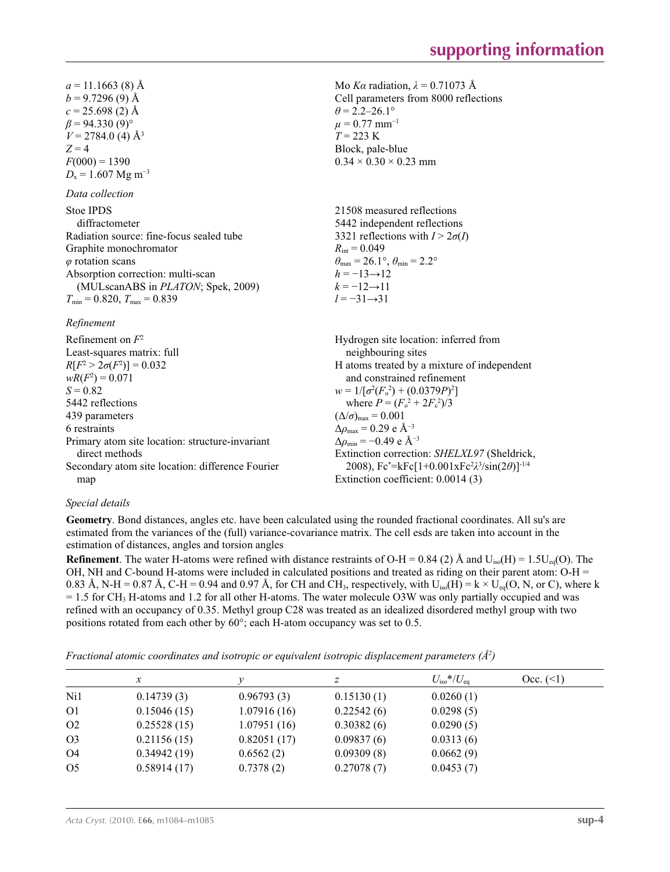Mo *Kα* radiation,  $\lambda = 0.71073$  Å Cell parameters from 8000 reflections

21508 measured reflections 5442 independent reflections 3321 reflections with  $I > 2\sigma(I)$ 

 $\theta_{\text{max}} = 26.1^{\circ}, \theta_{\text{min}} = 2.2^{\circ}$ 

 $\theta$  = 2.2–26.1°  $\mu$  = 0.77 mm<sup>-1</sup>  $T = 223$  K Block, pale-blue  $0.34 \times 0.30 \times 0.23$  mm

 $R_{\text{int}} = 0.049$ 

 $h = -13 \rightarrow 12$  $k = -12 \rightarrow 11$ *l* = −31→31

 $a = 11.1663(8)$  Å  $b = 9.7296(9)$  Å  $c = 25.698(2)$  Å  $\beta$  = 94.330 (9)<sup>o</sup>  $V = 2784.0$  (4)  $\AA$ <sup>3</sup>  $Z = 4$  $F(000) = 1390$  $D_x = 1.607$  Mg m<sup>-3</sup>

#### *Data collection*

diffractometer Radiation source: fine-focus sealed tube Graphite monochromator *φ* rotation scans Absorption correction: multi-scan (MULscanABS in *PLATON*; Spek, 2009)  $T_{\text{min}} = 0.820$ ,  $T_{\text{max}} = 0.839$ 

#### *Refinement*

Refinement on *F*<sup>2</sup> Least-squares matrix: full  $R[F^2 > 2\sigma(F^2)] = 0.032$  $wR(F^2) = 0.071$  $S = 0.82$ 5442 reflections 439 parameters 6 restraints Primary atom site location: structure-invariant direct methods Secondary atom site location: difference Fourier map Hydrogen site location: inferred from neighbouring sites H atoms treated by a mixture of independent and constrained refinement  $w = 1/[\sigma^2 (F_o^2) + (0.0379P)^2]$ where  $P = (F_o^2 + 2F_c^2)/3$  $(\Delta/\sigma)_{\text{max}} = 0.001$  $\Delta\rho_{\text{max}} = 0.29$  e Å<sup>-3</sup>  $\Delta \rho_{\rm min} = -0.49$  e Å<sup>-3</sup> Extinction correction: *SHELXL97* (Sheldrick, 2008), Fc\* =kFc[1+0.001xFc2 *λ*3 /sin(2*θ*)]-1/4 Extinction coefficient: 0.0014 (3)

### *Special details*

**Geometry**. Bond distances, angles etc. have been calculated using the rounded fractional coordinates. All su's are estimated from the variances of the (full) variance-covariance matrix. The cell esds are taken into account in the estimation of distances, angles and torsion angles

**Refinement**. The water H-atoms were refined with distance restraints of O-H = 0.84 (2) Å and  $U_{iso}(H) = 1.5U_{eq}(O)$ . The OH, NH and C-bound H-atoms were included in calculated positions and treated as riding on their parent atom:  $O-H =$ 0.83 Å, N-H = 0.87 Å, C-H = 0.94 and 0.97 Å, for CH and CH<sub>3</sub>, respectively, with U<sub>iso</sub>(H) = k × U<sub>eq</sub>(O, N, or C), where k  $= 1.5$  for CH<sub>3</sub> H-atoms and 1.2 for all other H-atoms. The water molecule O3W was only partially occupied and was refined with an occupancy of 0.35. Methyl group C28 was treated as an idealized disordered methyl group with two positions rotated from each other by 60°; each H-atom occupancy was set to 0.5.

*Fractional atomic coordinates and isotropic or equivalent isotropic displacement parameters (Å<sup>2</sup>)* 

|                | $\mathcal{X}$ |             | z          | $U_{\rm iso}*/U_{\rm eq}$ | Occ. (2) |
|----------------|---------------|-------------|------------|---------------------------|----------|
| Ni1            | 0.14739(3)    | 0.96793(3)  | 0.15130(1) | 0.0260(1)                 |          |
| O <sub>1</sub> | 0.15046(15)   | 1.07916(16) | 0.22542(6) | 0.0298(5)                 |          |
| O <sub>2</sub> | 0.25528(15)   | 1.07951(16) | 0.30382(6) | 0.0290(5)                 |          |
| O <sub>3</sub> | 0.21156(15)   | 0.82051(17) | 0.09837(6) | 0.0313(6)                 |          |
| <b>O4</b>      | 0.34942(19)   | 0.6562(2)   | 0.09309(8) | 0.0662(9)                 |          |
| O <sub>5</sub> | 0.58914(17)   | 0.7378(2)   | 0.27078(7) | 0.0453(7)                 |          |
|                |               |             |            |                           |          |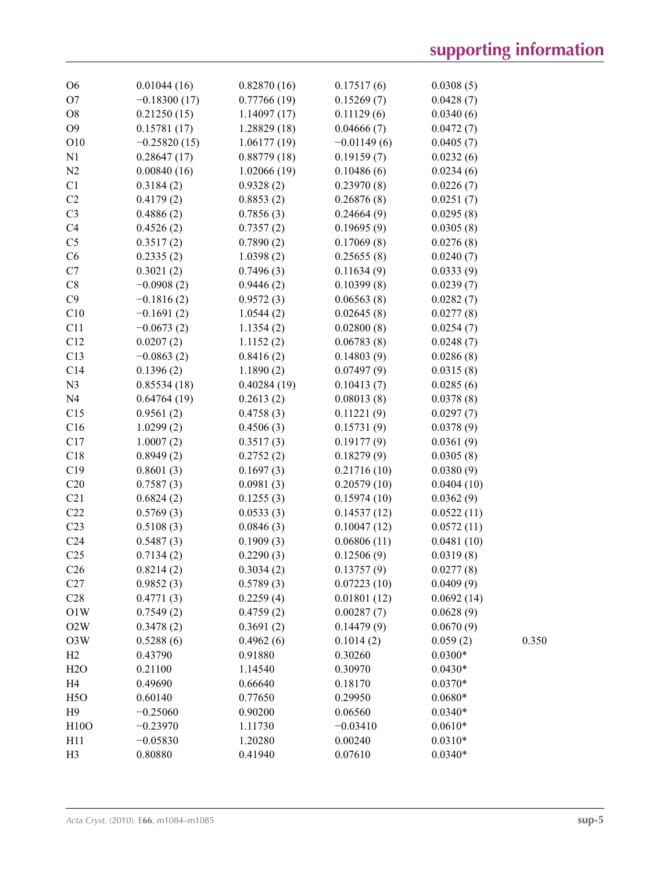| O <sub>6</sub>   | 0.01044(16)    | 0.82870(16) | 0.17517(6)    | 0.0308(5)  |       |
|------------------|----------------|-------------|---------------|------------|-------|
| O <sub>7</sub>   | $-0.18300(17)$ | 0.77766(19) | 0.15269(7)    | 0.0428(7)  |       |
| O <sub>8</sub>   | 0.21250(15)    | 1.14097(17) | 0.11129(6)    | 0.0340(6)  |       |
| O <sub>9</sub>   | 0.15781(17)    | 1.28829(18) | 0.04666(7)    | 0.0472(7)  |       |
| O10              | $-0.25820(15)$ | 1.06177(19) | $-0.01149(6)$ | 0.0405(7)  |       |
| N1               | 0.28647(17)    | 0.88779(18) | 0.19159(7)    | 0.0232(6)  |       |
| N2               | 0.00840(16)    | 1.02066(19) | 0.10486(6)    | 0.0234(6)  |       |
| C1               | 0.3184(2)      | 0.9328(2)   | 0.23970(8)    | 0.0226(7)  |       |
| C2               | 0.4179(2)      | 0.8853(2)   | 0.26876(8)    | 0.0251(7)  |       |
| C <sub>3</sub>   | 0.4886(2)      | 0.7856(3)   | 0.24664(9)    | 0.0295(8)  |       |
| C <sub>4</sub>   | 0.4526(2)      | 0.7357(2)   | 0.19695(9)    | 0.0305(8)  |       |
| C <sub>5</sub>   | 0.3517(2)      | 0.7890(2)   | 0.17069(8)    | 0.0276(8)  |       |
| C6               | 0.2335(2)      | 1.0398(2)   | 0.25655(8)    | 0.0240(7)  |       |
| C7               | 0.3021(2)      | 0.7496(3)   | 0.11634(9)    | 0.0333(9)  |       |
| C8               | $-0.0908(2)$   | 0.9446(2)   | 0.10399(8)    | 0.0239(7)  |       |
| C9               | $-0.1816(2)$   | 0.9572(3)   | 0.06563(8)    | 0.0282(7)  |       |
| C10              | $-0.1691(2)$   | 1.0544(2)   | 0.02645(8)    | 0.0277(8)  |       |
| C11              | $-0.0673(2)$   | 1.1354(2)   | 0.02800(8)    | 0.0254(7)  |       |
| C12              | 0.0207(2)      | 1.1152(2)   | 0.06783(8)    | 0.0248(7)  |       |
| C13              | $-0.0863(2)$   | 0.8416(2)   | 0.14803(9)    | 0.0286(8)  |       |
| C14              | 0.1396(2)      | 1.1890(2)   | 0.07497(9)    | 0.0315(8)  |       |
| N <sub>3</sub>   | 0.85534(18)    | 0.40284(19) | 0.10413(7)    | 0.0285(6)  |       |
| N <sub>4</sub>   | 0.64764(19)    | 0.2613(2)   | 0.08013(8)    | 0.0378(8)  |       |
| C15              | 0.9561(2)      | 0.4758(3)   | 0.11221(9)    | 0.0297(7)  |       |
| C16              | 1.0299(2)      | 0.4506(3)   | 0.15731(9)    | 0.0378(9)  |       |
| C17              | 1.0007(2)      |             | 0.19177(9)    | 0.0361(9)  |       |
| C18              | 0.8949(2)      | 0.3517(3)   | 0.18279(9)    |            |       |
| C19              | 0.8601(3)      | 0.2752(2)   |               | 0.0305(8)  |       |
| C20              |                | 0.1697(3)   | 0.21716(10)   | 0.0380(9)  |       |
| C21              | 0.7587(3)      | 0.0981(3)   | 0.20579(10)   | 0.0404(10) |       |
|                  | 0.6824(2)      | 0.1255(3)   | 0.15974(10)   | 0.0362(9)  |       |
| C22              | 0.5769(3)      | 0.0533(3)   | 0.14537(12)   | 0.0522(11) |       |
| C <sub>23</sub>  | 0.5108(3)      | 0.0846(3)   | 0.10047(12)   | 0.0572(11) |       |
| C <sub>24</sub>  | 0.5487(3)      | 0.1909(3)   | 0.06806(11)   | 0.0481(10) |       |
| C <sub>25</sub>  | 0.7134(2)      | 0.2290(3)   | 0.12506(9)    | 0.0319(8)  |       |
| C <sub>26</sub>  | 0.8214(2)      | 0.3034(2)   | 0.13757(9)    | 0.0277(8)  |       |
| C27              | 0.9852(3)      | 0.5789(3)   | 0.07223(10)   | 0.0409(9)  |       |
| C28              | 0.4771(3)      | 0.2259(4)   | 0.01801(12)   | 0.0692(14) |       |
| O1W              | 0.7549(2)      | 0.4759(2)   | 0.00287(7)    | 0.0628(9)  |       |
| O2W              | 0.3478(2)      | 0.3691(2)   | 0.14479(9)    | 0.0670(9)  |       |
| O3W              | 0.5288(6)      | 0.4962(6)   | 0.1014(2)     | 0.059(2)   | 0.350 |
| H2               | 0.43790        | 0.91880     | 0.30260       | $0.0300*$  |       |
| H2O              | 0.21100        | 1.14540     | 0.30970       | $0.0430*$  |       |
| H <sub>4</sub>   | 0.49690        | 0.66640     | 0.18170       | $0.0370*$  |       |
| H <sub>5</sub> O | 0.60140        | 0.77650     | 0.29950       | $0.0680*$  |       |
| H9               | $-0.25060$     | 0.90200     | 0.06560       | $0.0340*$  |       |
| H10O             | $-0.23970$     | 1.11730     | $-0.03410$    | $0.0610*$  |       |
| H11              | $-0.05830$     | 1.20280     | 0.00240       | $0.0310*$  |       |
| H <sub>3</sub>   | 0.80880        | 0.41940     | 0.07610       | $0.0340*$  |       |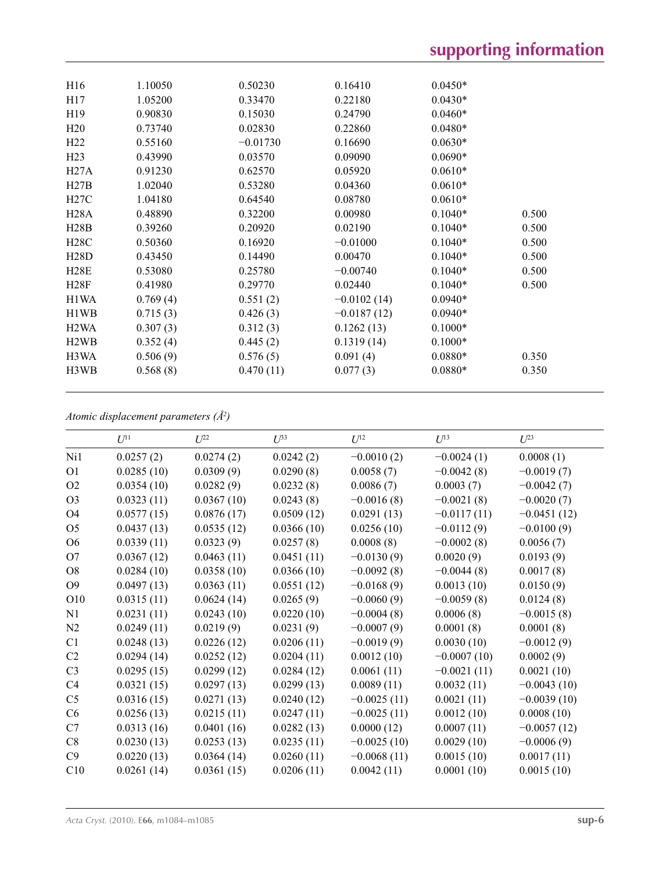| H <sub>16</sub>               | 1.10050  | 0.50230    | 0.16410       | $0.0450*$ |       |
|-------------------------------|----------|------------|---------------|-----------|-------|
| H17                           | 1.05200  | 0.33470    | 0.22180       | $0.0430*$ |       |
| H19                           | 0.90830  | 0.15030    | 0.24790       | $0.0460*$ |       |
| H20                           | 0.73740  | 0.02830    | 0.22860       | $0.0480*$ |       |
| H <sub>22</sub>               | 0.55160  | $-0.01730$ | 0.16690       | $0.0630*$ |       |
| H <sub>23</sub>               | 0.43990  | 0.03570    | 0.09090       | $0.0690*$ |       |
| H27A                          | 0.91230  | 0.62570    | 0.05920       | $0.0610*$ |       |
| H27B                          | 1.02040  | 0.53280    | 0.04360       | $0.0610*$ |       |
| H27C                          | 1.04180  | 0.64540    | 0.08780       | $0.0610*$ |       |
| <b>H28A</b>                   | 0.48890  | 0.32200    | 0.00980       | $0.1040*$ | 0.500 |
| H28B                          | 0.39260  | 0.20920    | 0.02190       | $0.1040*$ | 0.500 |
| H28C                          | 0.50360  | 0.16920    | $-0.01000$    | $0.1040*$ | 0.500 |
| <b>H28D</b>                   | 0.43450  | 0.14490    | 0.00470       | $0.1040*$ | 0.500 |
| H28E                          | 0.53080  | 0.25780    | $-0.00740$    | $0.1040*$ | 0.500 |
| H28F                          | 0.41980  | 0.29770    | 0.02440       | $0.1040*$ | 0.500 |
| H1WA                          | 0.769(4) | 0.551(2)   | $-0.0102(14)$ | $0.0940*$ |       |
| H1WB                          | 0.715(3) | 0.426(3)   | $-0.0187(12)$ | $0.0940*$ |       |
| H <sub>2</sub> W <sub>A</sub> | 0.307(3) | 0.312(3)   | 0.1262(13)    | $0.1000*$ |       |
| H <sub>2</sub> W <sub>B</sub> | 0.352(4) | 0.445(2)   | 0.1319(14)    | $0.1000*$ |       |
| H3WA                          | 0.506(9) | 0.576(5)   | 0.091(4)      | $0.0880*$ | 0.350 |
| H3WB                          | 0.568(8) | 0.470(11)  | 0.077(3)      | $0.0880*$ | 0.350 |
|                               |          |            |               |           |       |

*Atomic displacement parameters (Å2 )*

|                | $U^{11}$   | $U^{22}$   | $U^{33}$   | $U^{12}$      | $U^{13}$      | $U^{23}$      |
|----------------|------------|------------|------------|---------------|---------------|---------------|
| Ni1            | 0.0257(2)  | 0.0274(2)  | 0.0242(2)  | $-0.0010(2)$  | $-0.0024(1)$  | 0.0008(1)     |
| O <sub>1</sub> | 0.0285(10) | 0.0309(9)  | 0.0290(8)  | 0.0058(7)     | $-0.0042(8)$  | $-0.0019(7)$  |
| O2             | 0.0354(10) | 0.0282(9)  | 0.0232(8)  | 0.0086(7)     | 0.0003(7)     | $-0.0042(7)$  |
| O <sub>3</sub> | 0.0323(11) | 0.0367(10) | 0.0243(8)  | $-0.0016(8)$  | $-0.0021(8)$  | $-0.0020(7)$  |
| O4             | 0.0577(15) | 0.0876(17) | 0.0509(12) | 0.0291(13)    | $-0.0117(11)$ | $-0.0451(12)$ |
| O <sub>5</sub> | 0.0437(13) | 0.0535(12) | 0.0366(10) | 0.0256(10)    | $-0.0112(9)$  | $-0.0100(9)$  |
| O <sub>6</sub> | 0.0339(11) | 0.0323(9)  | 0.0257(8)  | 0.0008(8)     | $-0.0002(8)$  | 0.0056(7)     |
| O <sub>7</sub> | 0.0367(12) | 0.0463(11) | 0.0451(11) | $-0.0130(9)$  | 0.0020(9)     | 0.0193(9)     |
| O <sub>8</sub> | 0.0284(10) | 0.0358(10) | 0.0366(10) | $-0.0092(8)$  | $-0.0044(8)$  | 0.0017(8)     |
| O <sub>9</sub> | 0.0497(13) | 0.0363(11) | 0.0551(12) | $-0.0168(9)$  | 0.0013(10)    | 0.0150(9)     |
| O10            | 0.0315(11) | 0.0624(14) | 0.0265(9)  | $-0.0060(9)$  | $-0.0059(8)$  | 0.0124(8)     |
| N1             | 0.0231(11) | 0.0243(10) | 0.0220(10) | $-0.0004(8)$  | 0.0006(8)     | $-0.0015(8)$  |
| N <sub>2</sub> | 0.0249(11) | 0.0219(9)  | 0.0231(9)  | $-0.0007(9)$  | 0.0001(8)     | 0.0001(8)     |
| C1             | 0.0248(13) | 0.0226(12) | 0.0206(11) | $-0.0019(9)$  | 0.0030(10)    | $-0.0012(9)$  |
| C2             | 0.0294(14) | 0.0252(12) | 0.0204(11) | 0.0012(10)    | $-0.0007(10)$ | 0.0002(9)     |
| C <sub>3</sub> | 0.0295(15) | 0.0299(12) | 0.0284(12) | 0.0061(11)    | $-0.0021(11)$ | 0.0021(10)    |
| C4             | 0.0321(15) | 0.0297(13) | 0.0299(13) | 0.0089(11)    | 0.0032(11)    | $-0.0043(10)$ |
| C <sub>5</sub> | 0.0316(15) | 0.0271(13) | 0.0240(12) | $-0.0025(11)$ | 0.0021(11)    | $-0.0039(10)$ |
| C6             | 0.0256(13) | 0.0215(11) | 0.0247(11) | $-0.0025(11)$ | 0.0012(10)    | 0.0008(10)    |
| C7             | 0.0313(16) | 0.0401(16) | 0.0282(13) | 0.0000(12)    | 0.0007(11)    | $-0.0057(12)$ |
| C8             | 0.0230(13) | 0.0253(13) | 0.0235(11) | $-0.0025(10)$ | 0.0029(10)    | $-0.0006(9)$  |
| C9             | 0.0220(13) | 0.0364(14) | 0.0260(11) | $-0.0068(11)$ | 0.0015(10)    | 0.0017(11)    |
| C10            | 0.0261(14) | 0.0361(15) | 0.0206(11) | 0.0042(11)    | 0.0001(10)    | 0.0015(10)    |
|                |            |            |            |               |               |               |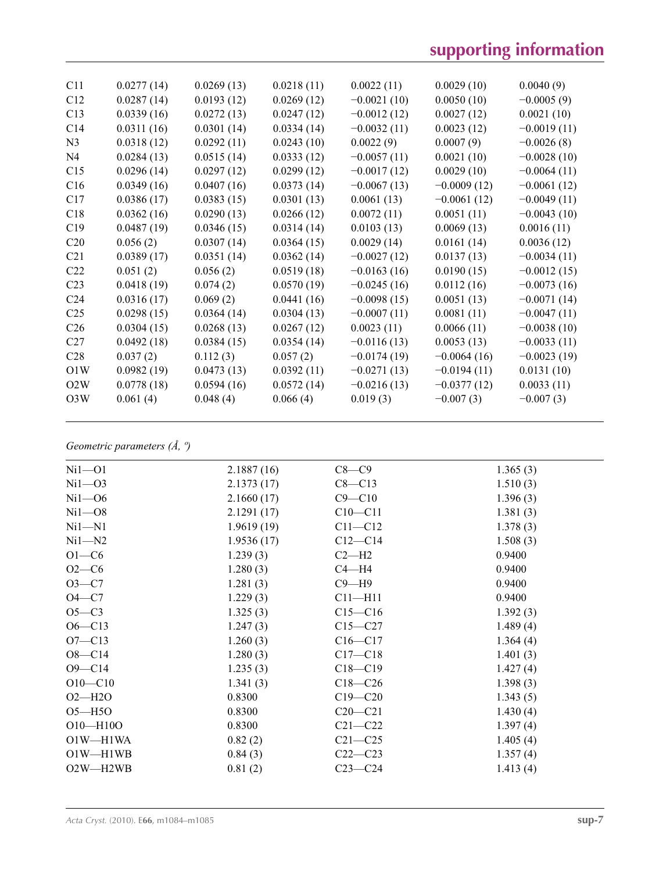| C11             | 0.0277(14) | 0.0269(13) | 0.0218(11) | 0.0022(11)    | 0.0029(10)    | 0.0040(9)     |
|-----------------|------------|------------|------------|---------------|---------------|---------------|
| C12             | 0.0287(14) | 0.0193(12) | 0.0269(12) | $-0.0021(10)$ | 0.0050(10)    | $-0.0005(9)$  |
| C13             | 0.0339(16) | 0.0272(13) | 0.0247(12) | $-0.0012(12)$ | 0.0027(12)    | 0.0021(10)    |
| C14             | 0.0311(16) | 0.0301(14) | 0.0334(14) | $-0.0032(11)$ | 0.0023(12)    | $-0.0019(11)$ |
| N <sub>3</sub>  | 0.0318(12) | 0.0292(11) | 0.0243(10) | 0.0022(9)     | 0.0007(9)     | $-0.0026(8)$  |
| N <sub>4</sub>  | 0.0284(13) | 0.0515(14) | 0.0333(12) | $-0.0057(11)$ | 0.0021(10)    | $-0.0028(10)$ |
| C15             | 0.0296(14) | 0.0297(12) | 0.0299(12) | $-0.0017(12)$ | 0.0029(10)    | $-0.0064(11)$ |
| C16             | 0.0349(16) | 0.0407(16) | 0.0373(14) | $-0.0067(13)$ | $-0.0009(12)$ | $-0.0061(12)$ |
| C17             | 0.0386(17) | 0.0383(15) | 0.0301(13) | 0.0061(13)    | $-0.0061(12)$ | $-0.0049(11)$ |
| C18             | 0.0362(16) | 0.0290(13) | 0.0266(12) | 0.0072(11)    | 0.0051(11)    | $-0.0043(10)$ |
| C19             | 0.0487(19) | 0.0346(15) | 0.0314(14) | 0.0103(13)    | 0.0069(13)    | 0.0016(11)    |
| C <sub>20</sub> | 0.056(2)   | 0.0307(14) | 0.0364(15) | 0.0029(14)    | 0.0161(14)    | 0.0036(12)    |
| C <sub>21</sub> | 0.0389(17) | 0.0351(14) | 0.0362(14) | $-0.0027(12)$ | 0.0137(13)    | $-0.0034(11)$ |
| C22             | 0.051(2)   | 0.056(2)   | 0.0519(18) | $-0.0163(16)$ | 0.0190(15)    | $-0.0012(15)$ |
| C <sub>23</sub> | 0.0418(19) | 0.074(2)   | 0.0570(19) | $-0.0245(16)$ | 0.0112(16)    | $-0.0073(16)$ |
| C <sub>24</sub> | 0.0316(17) | 0.069(2)   | 0.0441(16) | $-0.0098(15)$ | 0.0051(13)    | $-0.0071(14)$ |
| C <sub>25</sub> | 0.0298(15) | 0.0364(14) | 0.0304(13) | $-0.0007(11)$ | 0.0081(11)    | $-0.0047(11)$ |
| C <sub>26</sub> | 0.0304(15) | 0.0268(13) | 0.0267(12) | 0.0023(11)    | 0.0066(11)    | $-0.0038(10)$ |
| C27             | 0.0492(18) | 0.0384(15) | 0.0354(14) | $-0.0116(13)$ | 0.0053(13)    | $-0.0033(11)$ |
| C <sub>28</sub> | 0.037(2)   | 0.112(3)   | 0.057(2)   | $-0.0174(19)$ | $-0.0064(16)$ | $-0.0023(19)$ |
| O1W             | 0.0982(19) | 0.0473(13) | 0.0392(11) | $-0.0271(13)$ | $-0.0194(11)$ | 0.0131(10)    |
| O2W             | 0.0778(18) | 0.0594(16) | 0.0572(14) | $-0.0216(13)$ | $-0.0377(12)$ | 0.0033(11)    |
| O3W             | 0.061(4)   | 0.048(4)   | 0.066(4)   | 0.019(3)      | $-0.007(3)$   | $-0.007(3)$   |
|                 |            |            |            |               |               |               |

# *Geometric parameters (Å, º)*

| $Ni1-O1$                           | 2.1887(16) | $C8-C9$     | 1.365(3) |
|------------------------------------|------------|-------------|----------|
| $Ni1 - O3$                         | 2.1373(17) | $C8 - C13$  | 1.510(3) |
| $Ni1 - O6$                         | 2.1660(17) | $C9 - C10$  | 1.396(3) |
| $Ni1 - O8$                         | 2.1291(17) | $C10 - C11$ | 1.381(3) |
| $Ni1 - N1$                         | 1.9619(19) | $C11 - C12$ | 1.378(3) |
| $Ni1 - N2$                         | 1.9536(17) | $C12 - C14$ | 1.508(3) |
| $O1-C6$                            | 1.239(3)   | $C2-H2$     | 0.9400   |
| $O2 - C6$                          | 1.280(3)   | $C4 - H4$   | 0.9400   |
| $O3 - C7$                          | 1.281(3)   | $C9 - H9$   | 0.9400   |
| $O4-C7$                            | 1.229(3)   | $C11 - H11$ | 0.9400   |
| $O5-C3$                            | 1.325(3)   | $C15 - C16$ | 1.392(3) |
| $O6 - C13$                         | 1.247(3)   | $C15 - C27$ | 1.489(4) |
| $O7 - C13$                         | 1.260(3)   | $C16 - C17$ | 1.364(4) |
| $O8 - C14$                         | 1.280(3)   | $C17 - C18$ | 1.401(3) |
| $O9 - C14$                         | 1.235(3)   | $C18 - C19$ | 1.427(4) |
| $O10-C10$                          | 1.341(3)   | $C18 - C26$ | 1.398(3) |
| $O2 - H2O$                         | 0.8300     | $C19 - C20$ | 1.343(5) |
| $O5 - H5O$                         | 0.8300     | $C20 - C21$ | 1.430(4) |
| $O10 - H10O$                       | 0.8300     | $C21 - C22$ | 1.397(4) |
| O1W-H1WA                           | 0.82(2)    | $C21 - C25$ | 1.405(4) |
| $O1W - H1WB$                       | 0.84(3)    | $C22-C23$   | 1.357(4) |
| O <sub>2</sub> W-H <sub>2</sub> WB | 0.81(2)    | $C23-C24$   | 1.413(4) |
|                                    |            |             |          |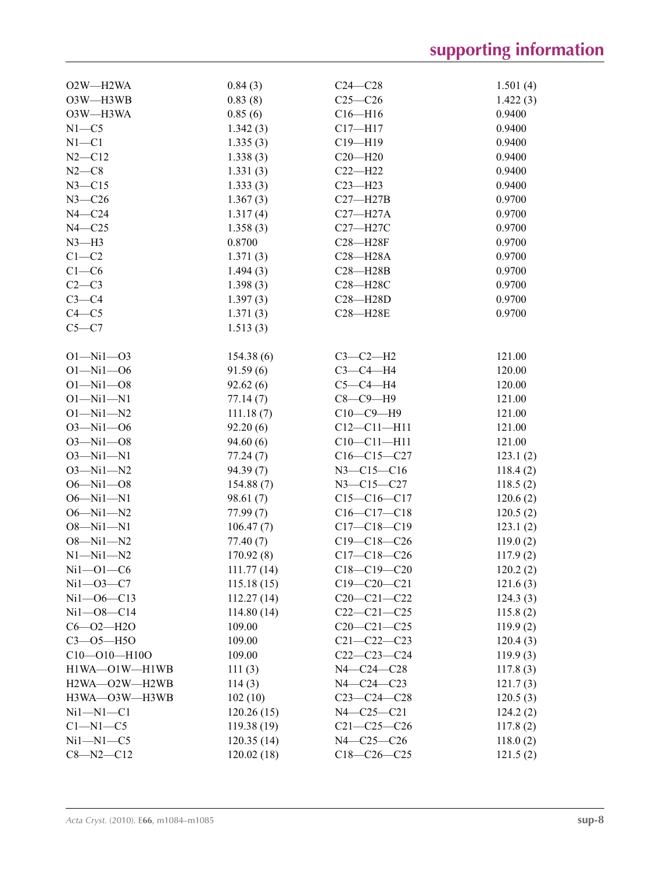| O <sub>2</sub> W-H <sub>2</sub> WA | 0.84(3)    | $C24 - C28$       | 1.501(4) |
|------------------------------------|------------|-------------------|----------|
| O3W-H3WB                           | 0.83(8)    | $C25-C26$         | 1.422(3) |
| O3W-H3WA                           | 0.85(6)    | $C16 - H16$       | 0.9400   |
| $N1 - C5$                          | 1.342(3)   | $C17 - H17$       | 0.9400   |
| $N1 - C1$                          | 1.335(3)   | C19-H19           | 0.9400   |
| $N2 - C12$                         | 1.338(3)   | $C20 - H20$       | 0.9400   |
| $N2-C8$                            | 1.331(3)   | $C22-H22$         | 0.9400   |
| $N3 - C15$                         | 1.333(3)   | $C23 - H23$       | 0.9400   |
| $N3 - C26$                         | 1.367(3)   | $C27 - H27B$      | 0.9700   |
| $N4 - C24$                         | 1.317(4)   | $C27 - H27A$      | 0.9700   |
| $N4 - C25$                         | 1.358(3)   | C27-H27C          | 0.9700   |
| $N3-H3$                            | 0.8700     | C28-H28F          | 0.9700   |
| $C1-C2$                            | 1.371(3)   | $C28 - H28A$      | 0.9700   |
| $C1-C6$                            | 1.494(3)   | $C28 - H28B$      | 0.9700   |
| $C2-C3$                            | 1.398(3)   | C28-H28C          | 0.9700   |
| $C3-C4$                            | 1.397(3)   | $C28 - H28D$      | 0.9700   |
| $C4 - C5$                          | 1.371(3)   | $C28 - H28E$      | 0.9700   |
| $C5-C7$                            | 1.513(3)   |                   |          |
|                                    |            |                   |          |
| $O1 - Ni1 - O3$                    | 154.38(6)  | $C3-C2-H2$        | 121.00   |
| $O1 - Ni1 - O6$                    | 91.59(6)   | $C3-C4-H4$        | 120.00   |
| $O1 - Ni1 - O8$                    | 92.62(6)   | $C5-C4-H4$        | 120.00   |
| $O1 - Ni1 - N1$                    | 77.14(7)   | $C8-C9-H9$        | 121.00   |
| $O1 - Ni1 - N2$                    |            | $C10-C9-H9$       | 121.00   |
| $O3 - N11 - O6$                    | 111.18(7)  | $C12 - C11 - H11$ |          |
| $O3 - N11 - O8$                    | 92.20(6)   | $C10 - C11 - H11$ | 121.00   |
| $O3 - Ni1 - N1$                    | 94.60(6)   |                   | 121.00   |
|                                    | 77.24(7)   | $C16-C15-C27$     | 123.1(2) |
| $O3 - Ni1 - N2$                    | 94.39 (7)  | $N3 - C15 - C16$  | 118.4(2) |
| $O6 - Nil - O8$                    | 154.88(7)  | $N3 - C15 - C27$  | 118.5(2) |
| $O6 - Ni1 - N1$                    | 98.61(7)   | $C15-C16-C17$     | 120.6(2) |
| $O6 - Ni1 - N2$                    | 77.99(7)   | $C16-C17-C18$     | 120.5(2) |
| $O8 - N11 - N1$                    | 106.47(7)  | $C17-C18-C19$     | 123.1(2) |
| $O8 - N11 - N2$                    | 77.40(7)   | $C19-C18-C26$     | 119.0(2) |
| $N1 - N11 - N2$                    | 170.92(8)  | $C17 - C18 - C26$ | 117.9(2) |
| $Ni1 - O1 - C6$                    | 111.77(14) | $C18-C19-C20$     | 120.2(2) |
| $Ni1-03-C7$                        | 115.18(15) | $C19 - C20 - C21$ | 121.6(3) |
| $Ni1 - O6 - C13$                   | 112.27(14) | $C20-C21-C22$     | 124.3(3) |
| $Ni1 - O8 - C14$                   | 114.80(14) | $C22-C21-C25$     | 115.8(2) |
| $C6 - O2 - H2O$                    | 109.00     | $C20-C21-C25$     | 119.9(2) |
| $C3 - 05 - H50$                    | 109.00     | $C21 - C22 - C23$ | 120.4(3) |
| $C10 - 010 - H100$                 | 109.00     | $C22-C23-C24$     | 119.9(3) |
| $H1WA$ — $O1W$ — $H1WB$            | 111(3)     | N4-C24-C28        | 117.8(3) |
| H2WA-O2W-H2WB                      | 114(3)     | N4-C24-C23        | 121.7(3) |
| H3WA-O3W-H3WB                      | 102(10)    | $C23-C24-C28$     | 120.5(3) |
| $Ni1 - N1 - C1$                    | 120.26(15) | $N4 - C25 - C21$  | 124.2(2) |
| $C1-M1-C5$                         | 119.38(19) | $C21 - C25 - C26$ | 117.8(2) |
| $Ni1 - N1 - C5$                    | 120.35(14) | N4-C25-C26        | 118.0(2) |
| $C8 - N2 - C12$                    | 120.02(18) | $C18-C26-C25$     | 121.5(2) |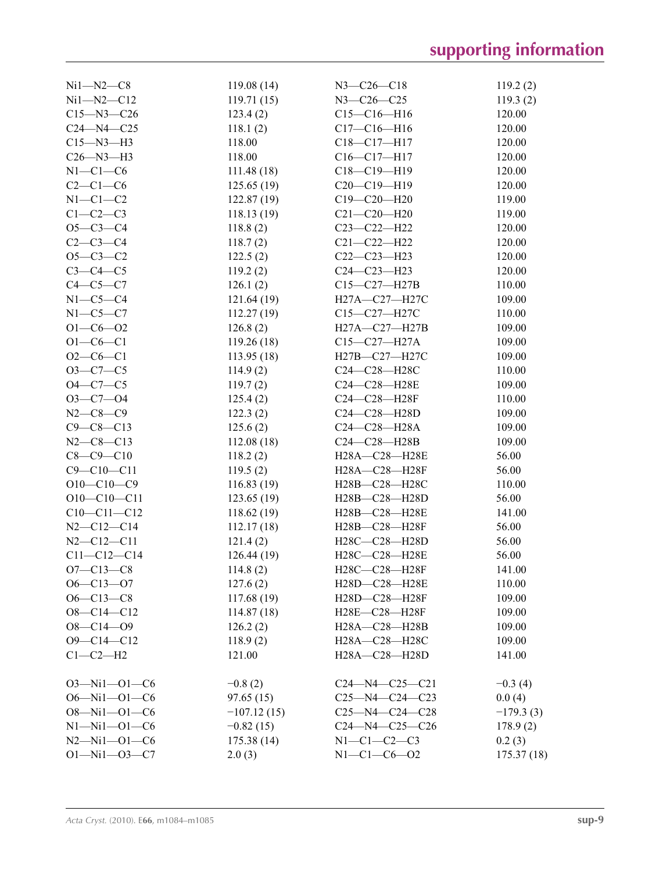| $Ni1 - N2 - C8$      | 119.08(14)    | $N3 - C26 - C18$       | 119.2(2)    |
|----------------------|---------------|------------------------|-------------|
| $Ni1 - N2 - C12$     | 119.71(15)    | $N3 - C26 - C25$       | 119.3(2)    |
| $C15 - N3 - C26$     | 123.4(2)      | $C15-C16-H16$          | 120.00      |
| $C24 - N4 - C25$     | 118.1(2)      | $C17-C16-H16$          | 120.00      |
| $C15 - N3 - H3$      | 118.00        | $C18 - C17 - H17$      | 120.00      |
| $C26 - N3 - H3$      | 118.00        | $C16-C17-H17$          | 120.00      |
| $N1-C1-C6$           | 111.48(18)    | $C18 - C19 - H19$      | 120.00      |
| $C2-C1-C6$           | 125.65(19)    | $C20-C19-H19$          | 120.00      |
| $N1-C1-C2$           | 122.87(19)    | $C19 - C20 - H20$      | 119.00      |
| $C1-C2-C3$           | 118.13(19)    | $C21 - C20 - H20$      | 119.00      |
| $O5 - C3 - C4$       | 118.8(2)      | C23-C22-H22            | 120.00      |
| $C2-C3-C4$           | 118.7(2)      | $C21 - C22 - H22$      | 120.00      |
| $O5-C3-C2$           | 122.5(2)      | $C22-C23-H23$          | 120.00      |
| $C3-C4-C5$           | 119.2(2)      | $C24 - C23 - H23$      | 120.00      |
| $C4-C5-C7$           | 126.1(2)      | C15-C27-H27B           | 110.00      |
| $N1-C5-C4$           | 121.64(19)    | H27A-C27-H27C          | 109.00      |
| $N1-C5-C7$           | 112.27(19)    | C15-C27-H27C           | 110.00      |
| $O1 - C6 - O2$       | 126.8(2)      | H27A-C27-H27B          | 109.00      |
| $O1 - CO - Cl$       | 119.26(18)    | $C15 - C27 - H27A$     | 109.00      |
| $O2-C6-C1$           | 113.95(18)    | H27B-C27-H27C          | 109.00      |
| $O3-C7-C5$           | 114.9(2)      | C24-C28-H28C           | 110.00      |
| $O4 - C7 - C5$       | 119.7(2)      | C24-C28-H28E           | 109.00      |
| $O3 - C7 - O4$       | 125.4(2)      | C24-C28-H28F           | 110.00      |
| $N2 - C8 - C9$       | 122.3(2)      | C24-C28-H28D           | 109.00      |
| $C9 - C8 - C13$      |               | C24-C28-H28A           |             |
|                      | 125.6(2)      | C24-C28-H28B           | 109.00      |
| $N2-C8-C13$          | 112.08(18)    |                        | 109.00      |
| $C8 - C9 - C10$      | 118.2(2)      | H28A-C28-H28E          | 56.00       |
| $C9 - C10 - C11$     | 119.5(2)      | H28A-C28-H28F          | 56.00       |
| $O10-C10-C9$         | 116.83(19)    | H28B-C28-H28C          | 110.00      |
| $O10-C10-C11$        | 123.65(19)    | H28B-C28-H28D          | 56.00       |
| $C10-C11-C12$        | 118.62 (19)   | H28B-C28-H28E          | 141.00      |
| $N2 - C12 - C14$     | 112.17(18)    | H28B-C28-H28F          | 56.00       |
| $N2 - C12 - C11$     | 121.4(2)      | H28C-C28-H28D          | 56.00       |
| $C11 - C12 - C14$    | 126.44(19)    | H28C-C28-H28E          | 56.00       |
| $O7 - C13 - C8$      | 114.8(2)      | H28C-C28-H28F          | 141.00      |
| $O6 - C13 - O7$      | 127.6(2)      | H28D-C28-H28E          | 110.00      |
| $O6 - C13 - C8$      | 117.68 (19)   | H28D-C28-H28F          | 109.00      |
| $O8-C14-C12$         | 114.87(18)    | H28E-C28-H28F          | 109.00      |
| $O8 - C14 - O9$      | 126.2(2)      | H28A-C28-H28B          | 109.00      |
| $O9 - C14 - C12$     | 118.9(2)      | H28A-C28-H28C          | 109.00      |
| $C1-C2-H2$           | 121.00        | H28A-C28-H28D          | 141.00      |
| $O3 - Ni1 - O1 - C6$ | $-0.8(2)$     | $C24 - N4 - C25 - C21$ | $-0.3(4)$   |
| $O6 - Nil - O1 - C6$ | 97.65(15)     | $C25 - N4 - C24 - C23$ | 0.0(4)      |
| $O8 - Ni1 - O1 - C6$ | $-107.12(15)$ | $C25 - N4 - C24 - C28$ | $-179.3(3)$ |
| $N1 - N11 - 01 - C6$ | $-0.82(15)$   | C24-N4-C25-C26         | 178.9(2)    |
| $N2 - Ni1 - O1 - C6$ | 175.38(14)    | $N1-C1-C2-C3$          | 0.2(3)      |
| $O1 - Ni1 - O3 - C7$ | 2.0(3)        | $N1 - C1 - C6 - O2$    | 175.37(18)  |
|                      |               |                        |             |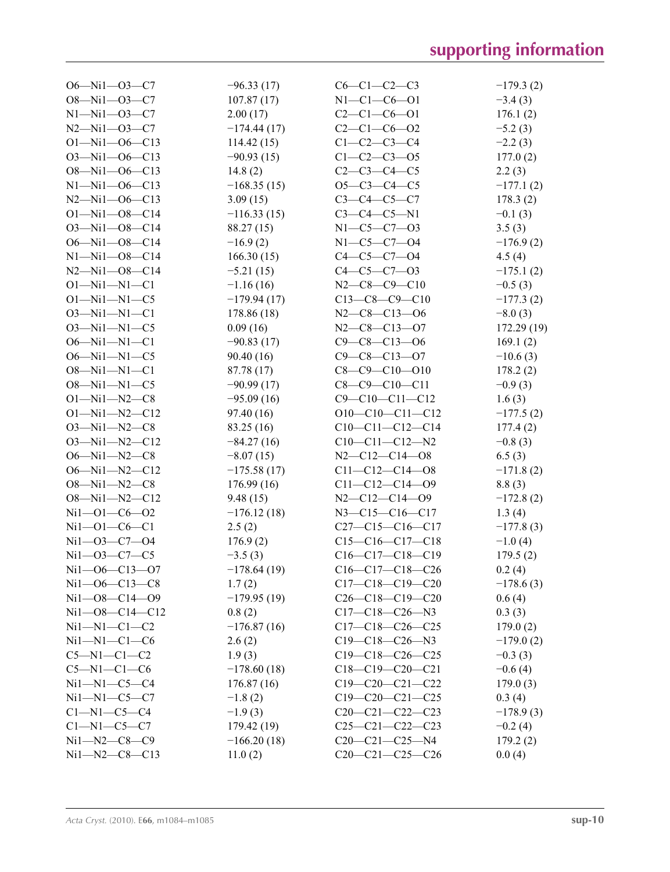| $O6 - Nil - O3 - C7$   | $-96.33(17)$  | $C6-C1-C2-C3$          | $-179.3(2)$ |
|------------------------|---------------|------------------------|-------------|
| $O8 - Ni1 - O3 - C7$   | 107.87(17)    | $N1 - C1 - C6 - 01$    | $-3.4(3)$   |
| $N1 - N11 - 03 - C7$   | 2.00(17)      | $C2-C1-C6-01$          | 176.1(2)    |
| $N2 - Ni1 - O3 - C7$   | $-174.44(17)$ | $C2-C1-C6-02$          | $-5.2(3)$   |
| $O1 - Nil - O6 - C13$  | 114.42(15)    | $C1 - C2 - C3 - C4$    | $-2.2(3)$   |
| $O3 - Nil - O6 - C13$  | $-90.93(15)$  | $C1 - C2 - C3 - 05$    | 177.0(2)    |
| $O8 - Nil - O6 - C13$  | 14.8 $(2)$    | $C2-C3-C4-C5$          | 2.2(3)      |
| $N1 - N11 - 06 - C13$  | $-168.35(15)$ | $O5-C3-C4-C5$          | $-177.1(2)$ |
| $N2 - Ni1 - 06 - C13$  | 3.09(15)      | $C3 - C4 - C5 - C7$    | 178.3(2)    |
| $O1 - Ni1 - O8 - C14$  | $-116.33(15)$ | $C3-C4-C5-N1$          | $-0.1(3)$   |
| $O3 - Ni1 - O8 - C14$  | 88.27 (15)    | $N1 - C5 - C7 - 03$    | 3.5(3)      |
| $O6 - Nil - O8 - C14$  | $-16.9(2)$    | $N1 - C5 - C7 - O4$    | $-176.9(2)$ |
| $N1 - N11 - 08 - C14$  |               | $C4 - C5 - C7 - O4$    |             |
| $N2 - Ni1 - 08 - C14$  | 166.30(15)    | $C4 - C5 - C7 - 03$    | 4.5(4)      |
|                        | $-5.21(15)$   |                        | $-175.1(2)$ |
| $O1 - Ni1 - N1 - C1$   | $-1.16(16)$   | $N2-C8-C9-C10$         | $-0.5(3)$   |
| $O1 - Ni1 - N1 - C5$   | $-179.94(17)$ | $C13-C8-C9-C10$        | $-177.3(2)$ |
| $O3 - Nil - NI - Cl$   | 178.86 (18)   | $N2-C8-C13-06$         | $-8.0(3)$   |
| $O3 - Ni1 - N1 - C5$   | 0.09(16)      | $N2-C8-C13-07$         | 172.29(19)  |
| $O6 - Nil - NI - Cl$   | $-90.83(17)$  | $C9 - C8 - C13 - O6$   | 169.1(2)    |
| $O6 - Nil - NI - C5$   | 90.40(16)     | $C9 - C8 - C13 - O7$   | $-10.6(3)$  |
| $O8 - Ni1 - N1 - C1$   | 87.78 (17)    | $C8-C9-C10-O10$        | 178.2(2)    |
| $O8 - Ni1 - N1 - C5$   | $-90.99(17)$  | $C8-C9-C10-C11$        | $-0.9(3)$   |
| $O1 - Ni1 - N2 - C8$   | $-95.09(16)$  | $C9 - C10 - C11 - C12$ | 1.6(3)      |
| $O1 - Ni1 - N2 - C12$  | 97.40(16)     | $O10-C10-C11-C12$      | $-177.5(2)$ |
| $O3 - Ni1 - N2 - C8$   | 83.25 (16)    | $C10-C11-C12-C14$      | 177.4(2)    |
| $O3 - Ni1 - N2 - C12$  | $-84.27(16)$  | $C10-C11-C12-N2$       | $-0.8(3)$   |
| $O6 - Ni1 - N2 - C8$   | $-8.07(15)$   | $N2 - C12 - C14 - 08$  | 6.5(3)      |
| $O6 - Nil - N2 - C12$  | $-175.58(17)$ | $C11-C12-C14-08$       | $-171.8(2)$ |
| $O8 - Ni1 - N2 - C8$   | 176.99(16)    | $C11-C12-C14-09$       | 8.8(3)      |
| $O8 - Ni1 - N2 - C12$  | 9.48(15)      | $N2-C12-C14-09$        | $-172.8(2)$ |
| $Ni1 - O1 - C6 - O2$   | $-176.12(18)$ | $N3 - C15 - C16 - C17$ | 1.3(4)      |
| $Ni1 - O1 - C6 - C1$   | 2.5(2)        | $C27-C15-C16-C17$      | $-177.8(3)$ |
| $Ni1 - O3 - C7 - O4$   | 176.9(2)      | $C15-C16-C17-C18$      | $-1.0(4)$   |
| $Ni1 - O3 - C7 - C5$   | $-3.5(3)$     | $C16-C17-C18-C19$      | 179.5(2)    |
| $Ni1 - O6 - C13 - O7$  | $-178.64(19)$ | $C16-C17-C18-C26$      | 0.2(4)      |
| $Ni1 - O6 - C13 - C8$  | 1.7(2)        | $C17-C18-C19-C20$      | $-178.6(3)$ |
| $Ni1 - O8 - C14 - O9$  | $-179.95(19)$ | $C26-C18-C19-C20$      | 0.6(4)      |
| $Ni1 - O8 - C14 - C12$ | 0.8(2)        | $C17-C18-C26-N3$       | 0.3(3)      |
| $Ni1 - N1 - C1 - C2$   | $-176.87(16)$ | $C17-C18-C26-C25$      | 179.0(2)    |
| $Ni1 - N1 - C1 - C6$   | 2.6(2)        | $C19-C18-C26-N3$       | $-179.0(2)$ |
| $C5-M1-C1-C2$          | 1.9(3)        | $C19-C18-C26-C25$      | $-0.3(3)$   |
| $C5-M1-C1-C6$          | $-178.60(18)$ | $C18-C19-C20-C21$      | $-0.6(4)$   |
| $Ni1 - N1 - C5 - C4$   | 176.87(16)    | $C19-C20-C21-C22$      | 179.0(3)    |
| $Ni1 - N1 - C5 - C7$   | $-1.8(2)$     | $C19-C20-C21-C25$      | 0.3(4)      |
| $C1-M1-C5-C4$          | $-1.9(3)$     | $C20-C21-C22-C23$      | $-178.9(3)$ |
| $C1-M1-C5-C7$          | 179.42 (19)   | $C25-C21-C22-C23$      | $-0.2(4)$   |
| $Ni1 - N2 - C8 - C9$   | $-166.20(18)$ | $C20-C21-C25-N4$       | 179.2(2)    |
| $Ni1 - N2 - C8 - C13$  | 11.0(2)       | $C20-C21-C25-C26$      | 0.0(4)      |
|                        |               |                        |             |